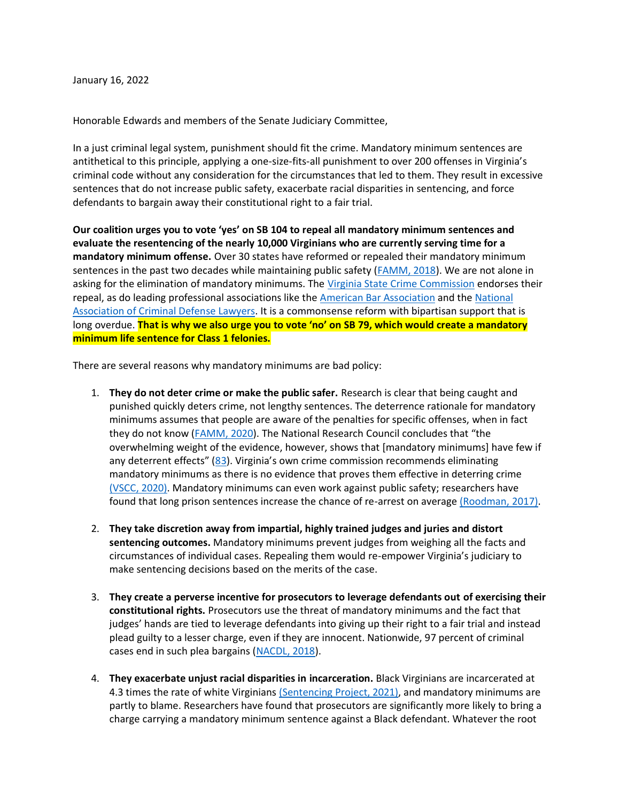January 16, 2022

Honorable Edwards and members of the Senate Judiciary Committee,

In a just criminal legal system, punishment should fit the crime. Mandatory minimum sentences are antithetical to this principle, applying a one-size-fits-all punishment to over 200 offenses in Virginia's criminal code without any consideration for the circumstances that led to them. They result in excessive sentences that do not increase public safety, exacerbate racial disparities in sentencing, and force defendants to bargain away their constitutional right to a fair trial.

**Our coalition urges you to vote 'yes' on SB 104 to repeal all mandatory minimum sentences and evaluate the resentencing of the nearly 10,000 Virginians who are currently serving time for a mandatory minimum offense.** Over 30 states have reformed or repealed their mandatory minimum sentences in the past two decades while maintaining public safety [\(FAMM, 2018\)](https://famm.org/wp-content/uploads/Chart-STATE-REFORMS-TO-MANDATORY-MINIMUM-SENTENCING-LAWS-2018.pdf). We are not alone in asking for the elimination of mandatory minimums. The [Virginia State Crime Commission](http://vscc.virginia.gov/2021/VSCC%202020%20Annual%20Report%20Mandatory%20Minimum%20Sentences.pdf) endorses their repeal, as do leading professional associations like the [American Bar Association](https://www.americanbar.org/content/dam/aba/administrative/crsj/committee/opposing_minimum_sentencing_10b.authcheckdam.pdf) and the [National](https://www.nacdl.org/Landing/Sentencing)  [Association of Criminal Defense Lawyers.](https://www.nacdl.org/Landing/Sentencing) It is a commonsense reform with bipartisan support that is long overdue. **That is why we also urge you to vote 'no' on SB 79, which would create a mandatory minimum life sentence for Class 1 felonies.**

There are several reasons why mandatory minimums are bad policy:

- 1. **They do not deter crime or make the public safer.** Research is clear that being caught and punished quickly deters crime, not lengthy sentences. The deterrence rationale for mandatory minimums assumes that people are aware of the penalties for specific offenses, when in fact they do not know [\(FAMM, 2020](https://famm.org/wp-content/uploads/The-Case-against-Mandatory-Minimum-Sentences.pdf)). The National Research Council concludes that "the overwhelming weight of the evidence, however, shows that [mandatory minimums] have few if any deterrent effects" ([83](https://www.njjn.org/uploads/digital-library/Nat-Academies-Press_Growth-of-Incarceration-in-US_Oct-2014.pdf)). Virginia's own crime commission recommends eliminating mandatory minimums as there is no evidence that proves them effective in deterring crime [\(VSCC, 2020\).](http://vscc.virginia.gov/2021/VSCC%202020%20Annual%20Report%20Mandatory%20Minimum%20Sentences.pdf) Mandatory minimums can even work against public safety; researchers have found that long prison sentences increase the chance of re-arrest on average [\(Roodman, 2017\).](https://www.vox.com/policy-and-politics/2017/9/25/16340782/study-mass-incarceration)
- 2. **They take discretion away from impartial, highly trained judges and juries and distort sentencing outcomes.** Mandatory minimums prevent judges from weighing all the facts and circumstances of individual cases. Repealing them would re-empower Virginia's judiciary to make sentencing decisions based on the merits of the case.
- 3. **They create a perverse incentive for prosecutors to leverage defendants out of exercising their constitutional rights.** Prosecutors use the threat of mandatory minimums and the fact that judges' hands are tied to leverage defendants into giving up their right to a fair trial and instead plead guilty to a lesser charge, even if they are innocent. Nationwide, 97 percent of criminal cases end in such plea bargains [\(NACDL, 2018\)](https://www.nacdl.org/Document/TrialPenaltySixthAmendmentRighttoTrialNearExtinct).
- 4. **They exacerbate unjust racial disparities in incarceration.** Black Virginians are incarcerated at 4.3 times the rate of white Virginian[s \(Sentencing Project, 2021\),](https://www.sentencingproject.org/wp-content/uploads/2016/06/The-Color-of-Justice-Racial-and-Ethnic-Disparity-in-State-Prisons.pdf) and mandatory minimums are partly to blame. Researchers have found that prosecutors are significantly more likely to bring a charge carrying a mandatory minimum sentence against a Black defendant. Whatever the root